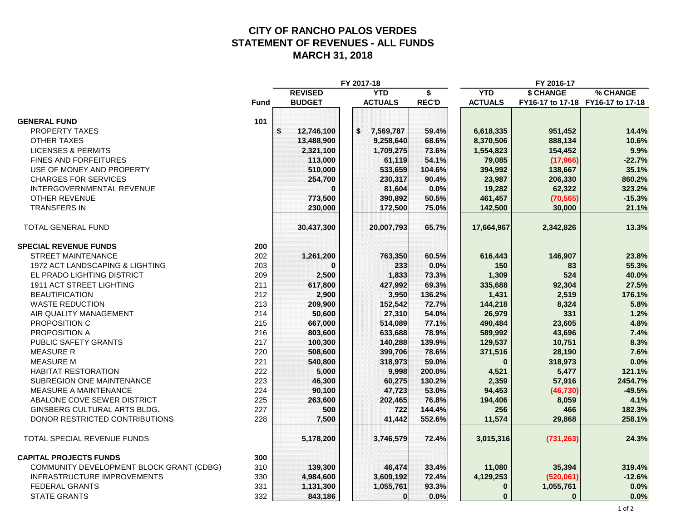#### **CITY OF RANCHO PALOS VERDES STATEMENT OF REVENUES - ALL FUNDS MARCH 31, 2018**

|                                                 |                  | FY 2017-18      |              |                |              |                                   |  |
|-------------------------------------------------|------------------|-----------------|--------------|----------------|--------------|-----------------------------------|--|
|                                                 | <b>REVISED</b>   | <b>YTD</b>      | \$           | <b>YTD</b>     | \$ CHANGE    | % CHANGE                          |  |
| <b>Fund</b>                                     | <b>BUDGET</b>    | <b>ACTUALS</b>  | <b>REC'D</b> | <b>ACTUALS</b> |              | FY16-17 to 17-18 FY16-17 to 17-18 |  |
|                                                 |                  |                 |              |                |              |                                   |  |
| <b>GENERAL FUND</b><br>101                      |                  |                 |              |                |              |                                   |  |
| PROPERTY TAXES                                  | \$<br>12,746,100 | \$<br>7,569,787 | 59.4%        | 6,618,335      | 951,452      | 14.4%                             |  |
| <b>OTHER TAXES</b>                              | 13,488,900       | 9,258,640       | 68.6%        | 8,370,506      | 888,134      | 10.6%                             |  |
| <b>LICENSES &amp; PERMITS</b>                   | 2,321,100        | 1,709,275       | 73.6%        | 1,554,823      | 154,452      | 9.9%                              |  |
| FINES AND FORFEITURES                           | 113,000          | 61,119          | 54.1%        | 79,085         | (17,966)     | $-22.7%$                          |  |
| USE OF MONEY AND PROPERTY                       | 510,000          | 533,659         | 104.6%       | 394,992        | 138,667      | 35.1%                             |  |
| <b>CHARGES FOR SERVICES</b>                     | 254,700          | 230,317         | 90.4%        | 23,987         | 206,330      | 860.2%                            |  |
| <b>INTERGOVERNMENTAL REVENUE</b>                |                  | 81,604          | 0.0%         | 19,282         | 62,322       | 323.2%                            |  |
| OTHER REVENUE                                   | 773,500          | 390,892         | 50.5%        | 461,457        | (70, 565)    | $-15.3%$                          |  |
| <b>TRANSFERS IN</b>                             | 230,000          | 172,500         | 75.0%        | 142,500        | 30,000       | 21.1%                             |  |
| <b>TOTAL GENERAL FUND</b>                       | 30,437,300       | 20,007,793      | 65.7%        | 17,664,967     | 2,342,826    | 13.3%                             |  |
| <b>SPECIAL REVENUE FUNDS</b><br>200             |                  |                 |              |                |              |                                   |  |
| <b>STREET MAINTENANCE</b><br>202                | 1,261,200        | 763,350         | 60.5%        | 616,443        | 146,907      | 23.8%                             |  |
| 1972 ACT LANDSCAPING & LIGHTING<br>203          | ŋ                | 233             | 0.0%         | 150            | 83           | 55.3%                             |  |
| EL PRADO LIGHTING DISTRICT<br>209               | 2,500            | 1,833           | 73.3%        | 1,309          | 524          | 40.0%                             |  |
| <b>1911 ACT STREET LIGHTING</b><br>211          | 617,800          | 427,992         | 69.3%        | 335,688        | 92,304       | 27.5%                             |  |
| <b>BEAUTIFICATION</b><br>212                    | 2,900            | 3,950           | 136.2%       | 1,431          | 2,519        | 176.1%                            |  |
| 213<br><b>WASTE REDUCTION</b>                   | 209,900          | 152,542         | 72.7%        | 144,218        | 8,324        | 5.8%                              |  |
| AIR QUALITY MANAGEMENT<br>214                   | 50,600           | 27,310          | 54.0%        | 26,979         | 331          | 1.2%                              |  |
| PROPOSITION C<br>215                            | 667,000          | 514,089         | 77.1%        | 490,484        | 23,605       | 4.8%                              |  |
| PROPOSITION A<br>216                            | 803,600          | 633,688         | 78.9%        | 589,992        | 43,696       | 7.4%                              |  |
| PUBLIC SAFETY GRANTS<br>217                     | 100,300          | 140,288         | 139.9%       | 129,537        | 10,751       | 8.3%                              |  |
| <b>MEASURE R</b><br>220                         | 508,600          | 399,706         | 78.6%        | 371,516        | 28,190       | 7.6%                              |  |
| <b>MEASURE M</b><br>221                         | 540,800          | 318,973         | 59.0%        | $\bf{0}$       | 318,973      | 0.0%                              |  |
| 222<br><b>HABITAT RESTORATION</b>               | 5,000            | 9,998           | 200.0%       | 4,521          | 5,477        | 121.1%                            |  |
| <b>SUBREGION ONE MAINTENANCE</b><br>223         | 46,300           | 60,275          | 130.2%       | 2,359          | 57,916       | 2454.7%                           |  |
| 224<br><b>MEASURE A MAINTENANCE</b>             | 90,100           | 47,723          | 53.0%        | 94,453         | (46, 730)    | $-49.5%$                          |  |
| ABALONE COVE SEWER DISTRICT<br>225              | 263,600          | 202,465         | 76.8%        | 194,406        | 8,059        | 4.1%                              |  |
| 227<br>GINSBERG CULTURAL ARTS BLDG.             | 500              | 722             | 144.4%       | 256            | 466          | 182.3%                            |  |
| 228<br>DONOR RESTRICTED CONTRIBUTIONS           | 7,500            | 41,442          | 552.6%       | 11,574         | 29,868       | 258.1%                            |  |
|                                                 |                  |                 |              |                |              |                                   |  |
| TOTAL SPECIAL REVENUE FUNDS                     | 5,178,200        | 3,746,579       | 72.4%        | 3,015,316      | (731, 263)   | 24.3%                             |  |
| <b>CAPITAL PROJECTS FUNDS</b><br>300            |                  |                 |              |                |              |                                   |  |
| 310<br>COMMUNITY DEVELOPMENT BLOCK GRANT (CDBG) | 139,300          | 46,474          | 33.4%        | 11,080         | 35,394       | 319.4%                            |  |
| INFRASTRUCTURE IMPROVEMENTS<br>330              | 4,984,600        | 3,609,192       | 72.4%        | 4,129,253      | (520,061)    | $-12.6%$                          |  |
| 331<br><b>FEDERAL GRANTS</b>                    | 1,131,300        | 1,055,761       | 93.3%        | $\bf{0}$       | 1,055,761    | 0.0%                              |  |
| 332<br><b>STATE GRANTS</b>                      | 843,186          | $\bf{0}$        | 0.0%         | $\bf{0}$       | $\mathbf{0}$ | 0.0%                              |  |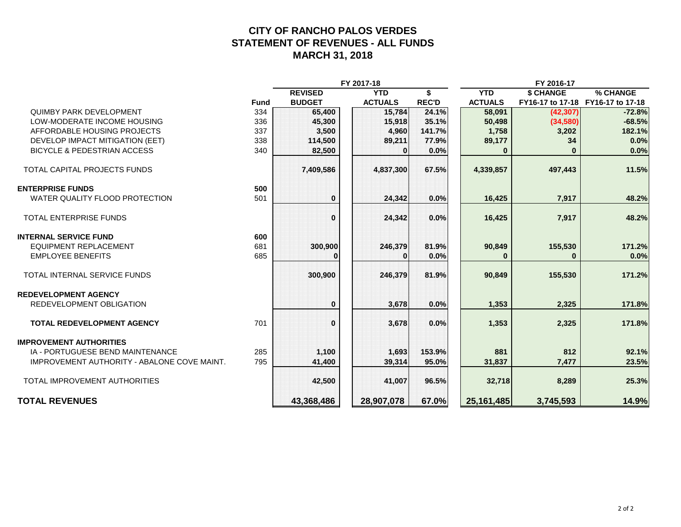#### **CITY OF RANCHO PALOS VERDES STATEMENT OF REVENUES - ALL FUNDS MARCH 31, 2018**

|                                             |             |                | FY 2017-18        |              | FY 2016-17     |                                   |          |  |  |
|---------------------------------------------|-------------|----------------|-------------------|--------------|----------------|-----------------------------------|----------|--|--|
|                                             |             | <b>REVISED</b> | <b>YTD</b>        | \$.          | <b>YTD</b>     | \$ CHANGE                         | % CHANGE |  |  |
|                                             | <b>Fund</b> | <b>BUDGET</b>  | <b>ACTUALS</b>    | <b>REC'D</b> | <b>ACTUALS</b> | FY16-17 to 17-18 FY16-17 to 17-18 |          |  |  |
| <b>QUIMBY PARK DEVELOPMENT</b>              | 334         | 65,400         | 15,784            | 24.1%        | 58,091         | (42, 307)                         | $-72.8%$ |  |  |
| LOW-MODERATE INCOME HOUSING                 | 336         | 45,300         | 15,918            | 35.1%        | 50,498         | (34,580)                          | $-68.5%$ |  |  |
| AFFORDABLE HOUSING PROJECTS                 | 337         | 3,500          | 4,960             | 141.7%       | 1,758          | 3,202                             | 182.1%   |  |  |
| DEVELOP IMPACT MITIGATION (EET)             | 338         | 114,500        | 89,211            | 77.9%        | 89,177         | 34                                | 0.0%     |  |  |
| <b>BICYCLE &amp; PEDESTRIAN ACCESS</b>      | 340         | 82,500         | $\mathbf{0}$      | 0.0%         | $\bf{0}$       |                                   | 0.0%     |  |  |
| <b>TOTAL CAPITAL PROJECTS FUNDS</b>         |             | 7,409,586      | 4,837,300         | 67.5%        | 4,339,857      | 497,443                           | 11.5%    |  |  |
| <b>ENTERPRISE FUNDS</b>                     | 500         |                |                   |              |                |                                   |          |  |  |
| WATER QUALITY FLOOD PROTECTION              | 501         | $\bf{0}$       | 24.342            | 0.0%         | 16,425         | 7,917                             | 48.2%    |  |  |
| <b>TOTAL ENTERPRISE FUNDS</b>               |             | $\bf{0}$       | 24,342            | 0.0%         | 16,425         | 7,917                             | 48.2%    |  |  |
| <b>INTERNAL SERVICE FUND</b>                | 600         |                |                   |              |                |                                   |          |  |  |
| <b>EQUIPMENT REPLACEMENT</b>                | 681         | 300,900        | 246,379           | 81.9%        | 90,849         | 155,530                           | 171.2%   |  |  |
| <b>EMPLOYEE BENEFITS</b>                    | 685         | 0              | $\mathbf{\Omega}$ | 0.0%         | $\bf{0}$       | $\bf{0}$                          | 0.0%     |  |  |
| <b>TOTAL INTERNAL SERVICE FUNDS</b>         |             | 300,900        | 246,379           | 81.9%        | 90,849         | 155,530                           | 171.2%   |  |  |
| <b>REDEVELOPMENT AGENCY</b>                 |             |                |                   |              |                |                                   |          |  |  |
| REDEVELOPMENT OBLIGATION                    |             | $\bf{0}$       | 3,678             | 0.0%         | 1,353          | 2,325                             | 171.8%   |  |  |
| <b>TOTAL REDEVELOPMENT AGENCY</b>           | 701         | $\bf{0}$       | 3,678             | 0.0%         | 1,353          | 2,325                             | 171.8%   |  |  |
| <b>IMPROVEMENT AUTHORITIES</b>              |             |                |                   |              |                |                                   |          |  |  |
| IA - PORTUGUESE BEND MAINTENANCE            | 285         | 1,100          | 1,693             | 153.9%       | 881            | 812                               | 92.1%    |  |  |
| IMPROVEMENT AUTHORITY - ABALONE COVE MAINT. | 795         | 41,400         | 39,314            | 95.0%        | 31,837         | 7,477                             | 23.5%    |  |  |
| TOTAL IMPROVEMENT AUTHORITIES               |             | 42,500         | 41,007            | 96.5%        | 32,718         | 8,289                             | 25.3%    |  |  |
| <b>TOTAL REVENUES</b>                       |             | 43,368,486     | 28,907,078        | 67.0%        | 25,161,485     | 3,745,593                         | 14.9%    |  |  |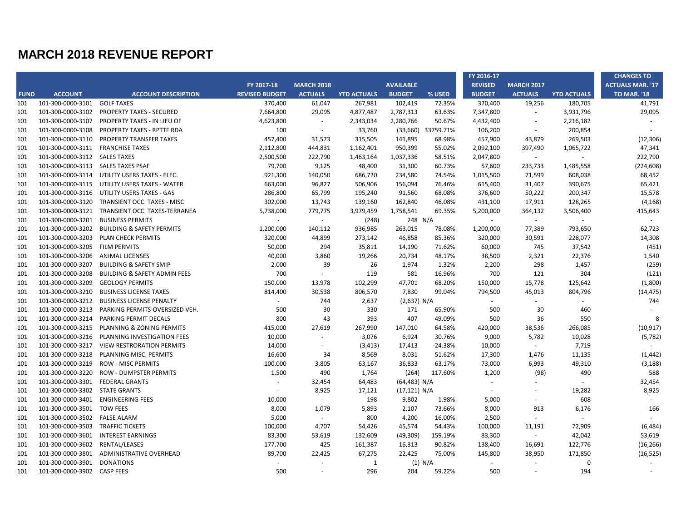|             |                                    |                                               |                       |                          |                    |                  |                    | FY 2016-17               |                          |                          | <b>CHANGES TO</b>       |
|-------------|------------------------------------|-----------------------------------------------|-----------------------|--------------------------|--------------------|------------------|--------------------|--------------------------|--------------------------|--------------------------|-------------------------|
|             |                                    |                                               | FY 2017-18            | <b>MARCH 2018</b>        |                    | <b>AVAILABLE</b> |                    | <b>REVISED</b>           | <b>MARCH 2017</b>        |                          | <b>ACTUALS MAR. '17</b> |
| <b>FUND</b> | <b>ACCOUNT</b>                     | <b>ACCOUNT DESCRIPTION</b>                    | <b>REVISED BUDGET</b> | <b>ACTUALS</b>           | <b>YTD ACTUALS</b> | <b>BUDGET</b>    | % USED             | <b>BUDGET</b>            | <b>ACTUALS</b>           | <b>YTD ACTUALS</b>       | <b>TO MAR. '18</b>      |
| 101         | 101-300-0000-3101                  | <b>GOLF TAXES</b>                             | 370,400               | 61,047                   | 267,981            | 102,419          | 72.35%             | 370,400                  | 19,256                   | 180,705                  | 41,791                  |
| 101         | 101-300-0000-3102                  | <b>PROPERTY TAXES - SECURED</b>               | 7,664,800             | 29,095                   | 4,877,487          | 2,787,313        | 63.63%             | 7,347,800                | $\sim$                   | 3,931,796                | 29,095                  |
| 101         | 101-300-0000-3107                  | PROPERTY TAXES - IN LIEU OF                   | 4,623,800             | $\sim$                   | 2,343,034          | 2,280,766        | 50.67%             | 4,432,400                | $\overline{\phantom{a}}$ | 2,216,182                | $\sim$                  |
| 101         | 101-300-0000-3108                  | PROPERTY TAXES - RPTTF RDA                    | 100                   | $\sim$                   | 33,760             |                  | (33,660) 33759.71% | 106,200                  | $\sim$                   | 200,854                  |                         |
| 101         | 101-300-0000-3110                  | PROPERTY TRANSFER TAXES                       | 457,400               | 31,573                   | 315,505            | 141,895          | 68.98%             | 457,900                  | 43,879                   | 269,503                  | (12, 306)               |
| 101         | 101-300-0000-3111 FRANCHISE TAXES  |                                               | 2,112,800             | 444,831                  | 1,162,401          | 950,399          | 55.02%             | 2,092,100                | 397,490                  | 1,065,722                | 47,341                  |
| 101         | 101-300-0000-3112 SALES TAXES      |                                               | 2,500,500             | 222,790                  | 1,463,164          | 1,037,336        | 58.51%             | 2,047,800                | $\sim$                   |                          | 222,790                 |
| 101         | 101-300-0000-3113 SALES TAXES PSAF |                                               | 79,700                | 9,125                    | 48,400             | 31,300           | 60.73%             | 57,600                   | 233,733                  | 1,485,558                | (224, 608)              |
| 101         |                                    | 101-300-0000-3114 UTILITY USERS TAXES - ELEC. | 921,300               | 140,050                  | 686,720            | 234,580          | 74.54%             | 1,015,500                | 71,599                   | 608,038                  | 68,452                  |
| 101         |                                    | 101-300-0000-3115 UTILITY USERS TAXES - WATER | 663,000               | 96,827                   | 506,906            | 156,094          | 76.46%             | 615,400                  | 31,407                   | 390,675                  | 65,421                  |
| 101         | 101-300-0000-3116                  | UTILITY USERS TAXES - GAS                     | 286,800               | 65,799                   | 195,240            | 91,560           | 68.08%             | 376,600                  | 50,222                   | 200,347                  | 15,578                  |
| 101         | 101-300-0000-3120                  | TRANSIENT OCC. TAXES - MISC                   | 302,000               | 13,743                   | 139,160            | 162,840          | 46.08%             | 431,100                  | 17,911                   | 128,265                  | (4, 168)                |
| 101         | 101-300-0000-3121                  | TRANSIENT OCC. TAXES-TERRANEA                 | 5,738,000             | 779,775                  | 3,979,459          | 1,758,541        | 69.35%             | 5,200,000                | 364,132                  | 3,506,400                | 415,643                 |
| 101         | 101-300-0000-3201                  | <b>BUSINESS PERMITS</b>                       | $\sim$                | $\omega$                 | (248)              |                  | 248 N/A            | $\omega$                 | $\sim$                   |                          |                         |
| 101         | 101-300-0000-3202                  | <b>BUILDING &amp; SAFETY PERMITS</b>          | 1,200,000             | 140,112                  | 936,985            | 263,015          | 78.08%             | 1,200,000                | 77,389                   | 793,650                  | 62,723                  |
| 101         | 101-300-0000-3203                  | PLAN CHECK PERMITS                            | 320,000               | 44,899                   | 273,142            | 46,858           | 85.36%             | 320,000                  | 30,591                   | 228,077                  | 14,308                  |
| 101         | 101-300-0000-3205                  | <b>FILM PERMITS</b>                           | 50,000                | 294                      | 35,811             | 14,190           | 71.62%             | 60,000                   | 745                      | 37,542                   | (451)                   |
| 101         | 101-300-0000-3206                  | <b>ANIMAL LICENSES</b>                        | 40,000                | 3,860                    | 19,266             | 20,734           | 48.17%             | 38,500                   | 2,321                    | 22,376                   | 1,540                   |
| 101         | 101-300-0000-3207                  | <b>BUILDING &amp; SAFETY SMIP</b>             | 2,000                 | 39                       | 26                 | 1,974            | 1.32%              | 2,200                    | 298                      | 1,457                    | (259)                   |
| 101         | 101-300-0000-3208                  | <b>BUILDING &amp; SAFETY ADMIN FEES</b>       | 700                   | $\sim$                   | 119                | 581              | 16.96%             | 700                      | 121                      | 304                      | (121)                   |
| 101         | 101-300-0000-3209                  | <b>GEOLOGY PERMITS</b>                        | 150,000               | 13,978                   | 102,299            | 47,701           | 68.20%             | 150,000                  | 15,778                   | 125,642                  | (1,800)                 |
| 101         | 101-300-0000-3210                  | <b>BUSINESS LICENSE TAXES</b>                 | 814,400               | 30,538                   | 806,570            | 7,830            | 99.04%             | 794,500                  | 45,013                   | 804,796                  | (14, 475)               |
| 101         | 101-300-0000-3212                  | <b>BUSINESS LICENSE PENALTY</b>               | $\sim$                | 744                      | 2,637              | (2,637) N/A      |                    | $\sim$                   | $\sim$                   | $\overline{\phantom{a}}$ | 744                     |
| 101         | 101-300-0000-3213                  | PARKING PERMITS-OVERSIZED VEH.                | 500                   | 30                       | 330                | 171              | 65.90%             | 500                      | 30                       | 460                      |                         |
| 101         | 101-300-0000-3214                  | PARKING PERMIT DECALS                         | 800                   | 43                       | 393                | 407              | 49.09%             | 500                      | 36                       | 550                      | 8                       |
| 101         | 101-300-0000-3215                  | PLANNING & ZONING PERMITS                     | 415,000               | 27,619                   | 267,990            | 147,010          | 64.58%             | 420,000                  | 38,536                   | 266,085                  | (10, 917)               |
| 101         | 101-300-0000-3216                  | PLANNING INVESTIGATION FEES                   | 10,000                | $\sim$                   | 3,076              | 6,924            | 30.76%             | 9,000                    | 5,782                    | 10,028                   | (5,782)                 |
| 101         | 101-300-0000-3217                  | <b>VIEW RESTRORATION PERMITS</b>              | 14,000                | $\overline{\phantom{a}}$ | (3, 413)           | 17,413           | -24.38%            | 10,000                   | $\sim$                   | 7,719                    | $\sim$                  |
| 101         | 101-300-0000-3218                  | PLANNING MISC. PERMITS                        | 16,600                | 34                       | 8,569              | 8,031            | 51.62%             | 17,300                   | 1,476                    | 11,135                   | (1, 442)                |
| 101         | 101-300-0000-3219                  | <b>ROW - MISC PERMITS</b>                     | 100,000               | 3,805                    | 63,167             | 36,833           | 63.17%             | 73,000                   | 6,993                    | 49,310                   | (3, 188)                |
| 101         | 101-300-0000-3220                  | <b>ROW - DUMPSTER PERMITS</b>                 | 1,500                 | 490                      | 1,764              | (264)            | 117.60%            | 1,200                    | (98)                     | 490                      | 588                     |
| 101         | 101-300-0000-3301                  | <b>FEDERAL GRANTS</b>                         | $\sim$                | 32,454                   | 64,483             | (64, 483) N/A    |                    | $\sim$                   | $\overline{\phantom{a}}$ |                          | 32,454                  |
| 101         | 101-300-0000-3302                  | <b>STATE GRANTS</b>                           |                       | 8,925                    | 17,121             | (17, 121) N/A    |                    | $\overline{\phantom{a}}$ | $\sim$                   | 19,282                   | 8,925                   |
| 101         | 101-300-0000-3401                  | <b>ENGINEERING FEES</b>                       | 10,000                | $\sim$                   | 198                | 9,802            | 1.98%              | 5,000                    | $\sim$                   | 608                      | $\sim$                  |
| 101         | 101-300-0000-3501                  | <b>TOW FEES</b>                               | 8,000                 | 1,079                    | 5,893              | 2,107            | 73.66%             | 8,000                    | 913                      | 6,176                    | 166                     |
| 101         | 101-300-0000-3502 FALSE ALARM      |                                               | 5,000                 | $\sim$                   | 800                | 4,200            | 16.00%             | 2,500                    | $\omega$                 | $\sim$                   |                         |
| 101         | 101-300-0000-3503                  | <b>TRAFFIC TICKETS</b>                        | 100,000               | 4,707                    | 54,426             | 45,574           | 54.43%             | 100,000                  | 11,191                   | 72,909                   | (6, 484)                |
| 101         | 101-300-0000-3601                  | <b>INTEREST EARNINGS</b>                      | 83,300                | 53,619                   | 132,609            | (49, 309)        | 159.19%            | 83,300                   | $\sim$                   | 42,042                   | 53,619                  |
| 101         | 101-300-0000-3602                  | RENTAL/LEASES                                 | 177,700               | 425                      | 161,387            | 16,313           | 90.82%             | 138,400                  | 16,691                   | 122,776                  | (16, 266)               |
| 101         | 101-300-0000-3801                  | ADMINISTRATIVE OVERHEAD                       | 89,700                | 22,425                   | 67,275             | 22,425           | 75.00%             | 145,800                  | 38,950                   | 171,850                  | (16, 525)               |
| 101         | 101-300-0000-3901                  | <b>DONATIONS</b>                              |                       | $\overline{\phantom{a}}$ | $\mathbf{1}$       |                  | (1) N/A            | $\sim$                   | $\overline{\phantom{a}}$ | 0                        | $\omega$                |
| 101         | 101-300-0000-3902 CASP FEES        |                                               | 500                   |                          | 296                | 204              | 59.22%             | 500                      |                          | 194                      |                         |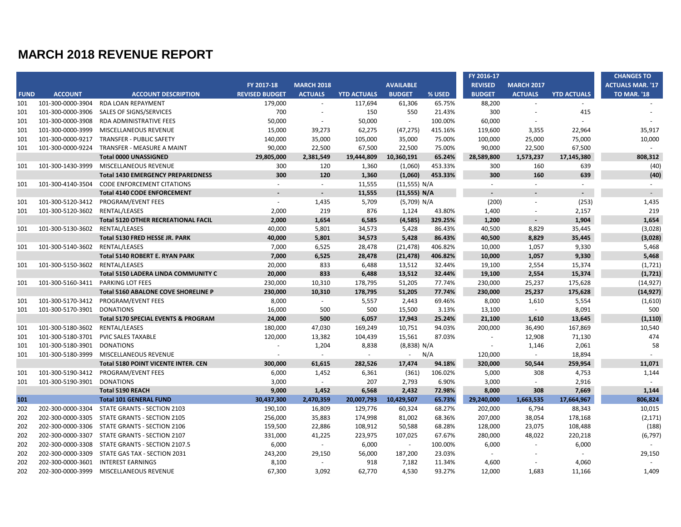|             |                                 |                                            |                       |                          |                    |                  |         | FY 2016-17     |                   |                    | <b>CHANGES TO</b>       |
|-------------|---------------------------------|--------------------------------------------|-----------------------|--------------------------|--------------------|------------------|---------|----------------|-------------------|--------------------|-------------------------|
|             |                                 |                                            | FY 2017-18            | <b>MARCH 2018</b>        |                    | <b>AVAILABLE</b> |         | <b>REVISED</b> | <b>MARCH 2017</b> |                    | <b>ACTUALS MAR. '17</b> |
| <b>FUND</b> | <b>ACCOUNT</b>                  | <b>ACCOUNT DESCRIPTION</b>                 | <b>REVISED BUDGET</b> | <b>ACTUALS</b>           | <b>YTD ACTUALS</b> | <b>BUDGET</b>    | % USED  | <b>BUDGET</b>  | <b>ACTUALS</b>    | <b>YTD ACTUALS</b> | <b>TO MAR. '18</b>      |
| 101         | 101-300-0000-3904               | <b>RDA LOAN REPAYMENT</b>                  | 179,000               | $\sim$                   | 117,694            | 61,306           | 65.75%  | 88,200         |                   | $\sim$             |                         |
| 101         | 101-300-0000-3906               | SALES OF SIGNS/SERVICES                    | 700                   | $\overline{\phantom{a}}$ | 150                | 550              | 21.43%  | 300            |                   | 415                |                         |
| 101         | 101-300-0000-3908               | RDA ADMINISTRATIVE FEES                    | 50,000                | $\sim$                   | 50,000             | $\blacksquare$   | 100.00% | 60,000         |                   |                    |                         |
| 101         | 101-300-0000-3999               | MISCELLANEOUS REVENUE                      | 15,000                | 39,273                   | 62,275             | (47, 275)        | 415.16% | 119,600        | 3,355             | 22,964             | 35,917                  |
| 101         | 101-300-0000-9217               | <b>TRANSFER - PUBLIC SAFETY</b>            | 140,000               | 35,000                   | 105,000            | 35,000           | 75.00%  | 100,000        | 25,000            | 75,000             | 10,000                  |
| 101         | 101-300-0000-9224               | TRANSFER - MEASURE A MAINT                 | 90,000                | 22,500                   | 67,500             | 22,500           | 75.00%  | 90,000         | 22,500            | 67,500             | $\sim$                  |
|             |                                 | <b>Total 0000 UNASSIGNED</b>               | 29,805,000            | 2,381,549                | 19,444,809         | 10,360,191       | 65.24%  | 28,589,800     | 1,573,237         | 17,145,380         | 808,312                 |
| 101         | 101-300-1430-3999               | MISCELLANEOUS REVENUE                      | 300                   | 120                      | 1,360              | (1,060)          | 453.33% | 300            | 160               | 639                | (40)                    |
|             |                                 | <b>Total 1430 EMERGENCY PREPAREDNESS</b>   | 300                   | 120                      | 1,360              | (1,060)          | 453.33% | 300            | 160               | 639                | (40)                    |
| 101         | 101-300-4140-3504               | <b>CODE ENFORCEMENT CITATIONS</b>          | $\sim$                | $\blacksquare$           | 11,555             | (11,555) N/A     |         | $\omega$       | $\sim$            | $\sim$             | $\sim$                  |
|             |                                 | <b>Total 4140 CODE ENFORCEMENT</b>         |                       | $\mathbf{r}$             | 11,555             | (11,555) N/A     |         | $\sim$         |                   | $\sim$             | $\sim$                  |
| 101         | 101-300-5120-3412               | PROGRAM/EVENT FEES                         | $\sim$                | 1,435                    | 5,709              | (5,709) N/A      |         | (200)          | $\sim$            | (253)              | 1,435                   |
| 101         | 101-300-5120-3602               | RENTAL/LEASES                              | 2,000                 | 219                      | 876                | 1,124            | 43.80%  | 1,400          | $\sim$            | 2,157              | 219                     |
|             |                                 | <b>Total 5120 OTHER RECREATIONAL FACIL</b> | 2,000                 | 1,654                    | 6,585              | (4, 585)         | 329.25% | 1,200          |                   | 1,904              | 1,654                   |
| 101         | 101-300-5130-3602 RENTAL/LEASES |                                            | 40,000                | 5,801                    | 34,573             | 5,428            | 86.43%  | 40,500         | 8,829             | 35,445             | (3,028)                 |
|             |                                 | Total 5130 FRED HESSE JR. PARK             | 40,000                | 5,801                    | 34,573             | 5,428            | 86.43%  | 40,500         | 8,829             | 35,445             | (3,028)                 |
| 101         | 101-300-5140-3602               | RENTAL/LEASES                              | 7,000                 | 6,525                    | 28,478             | (21, 478)        | 406.82% | 10,000         | 1,057             | 9,330              | 5,468                   |
|             |                                 | Total 5140 ROBERT E. RYAN PARK             | 7,000                 | 6,525                    | 28,478             | (21, 478)        | 406.82% | 10,000         | 1,057             | 9,330              | 5,468                   |
| 101         | 101-300-5150-3602               | RENTAL/LEASES                              | 20,000                | 833                      | 6,488              | 13,512           | 32.44%  | 19,100         | 2,554             | 15,374             | (1, 721)                |
|             |                                 | <b>Total 5150 LADERA LINDA COMMUNITY C</b> | 20,000                | 833                      | 6,488              | 13,512           | 32.44%  | 19,100         | 2,554             | 15,374             | (1, 721)                |
| 101         | 101-300-5160-3411               | <b>PARKING LOT FEES</b>                    | 230,000               | 10,310                   | 178,795            | 51,205           | 77.74%  | 230,000        | 25,237            | 175,628            | (14, 927)               |
|             |                                 | <b>Total 5160 ABALONE COVE SHORELINE P</b> | 230,000               | 10,310                   | 178,795            | 51,205           | 77.74%  | 230,000        | 25,237            | 175,628            | (14, 927)               |
| 101         | 101-300-5170-3412               | PROGRAM/EVENT FEES                         | 8,000                 | $\sim$                   | 5,557              | 2,443            | 69.46%  | 8,000          | 1,610             | 5,554              | (1,610)                 |
| 101         | 101-300-5170-3901               | <b>DONATIONS</b>                           | 16,000                | 500                      | 500                | 15,500           | 3.13%   | 13,100         | $\sim$            | 8,091              | 500                     |
|             |                                 | Total 5170 SPECIAL EVENTS & PROGRAM        | 24,000                | 500                      | 6,057              | 17,943           | 25.24%  | 21,100         | 1,610             | 13,645             | (1, 110)                |
| 101         | 101-300-5180-3602               | RENTAL/LEASES                              | 180,000               | 47,030                   | 169,249            | 10,751           | 94.03%  | 200,000        | 36,490            | 167,869            | 10,540                  |
| 101         | 101-300-5180-3701               | PVIC SALES TAXABLE                         | 120,000               | 13,382                   | 104,439            | 15,561           | 87.03%  | $\sim$         | 12,908            | 71,130             | 474                     |
| 101         | 101-300-5180-3901               | <b>DONATIONS</b>                           |                       | 1,204                    | 8,838              | (8,838) N/A      |         | $\sim$         | 1,146             | 2,061              | 58                      |
| 101         | 101-300-5180-3999               | MISCELLANEOUS REVENUE                      |                       | $\sim$                   | $\sim$             | $\omega$         | N/A     | 120,000        | $\omega$          | 18,894             | $\sim$                  |
|             |                                 | Total 5180 POINT VICENTE INTER. CEN        | 300,000               | 61,615                   | 282,526            | 17,474           | 94.18%  | 320,000        | 50,544            | 259,954            | 11,071                  |
| 101         | 101-300-5190-3412               | PROGRAM/EVENT FEES                         | 6,000                 | 1,452                    | 6,361              | (361)            | 106.02% | 5,000          | 308               | 4,753              | 1,144                   |
| 101         | 101-300-5190-3901               | <b>DONATIONS</b>                           | 3,000                 | $\sim$                   | 207                | 2,793            | 6.90%   | 3,000          | $\sim$            | 2,916              | $\sim$                  |
|             |                                 | <b>Total 5190 REACH</b>                    | 9,000                 | 1,452                    | 6,568              | 2,432            | 72.98%  | 8,000          | 308               | 7,669              | 1,144                   |
| 101         |                                 | <b>Total 101 GENERAL FUND</b>              | 30,437,300            | 2,470,359                | 20,007,793         | 10,429,507       | 65.73%  | 29,240,000     | 1,663,535         | 17,664,967         | 806,824                 |
| 202         | 202-300-0000-3304               | STATE GRANTS - SECTION 2103                | 190,100               | 16,809                   | 129,776            | 60,324           | 68.27%  | 202,000        | 6,794             | 88,343             | 10,015                  |
| 202         | 202-300-0000-3305               | STATE GRANTS - SECTION 2105                | 256,000               | 35,883                   | 174,998            | 81,002           | 68.36%  | 207,000        | 38,054            | 178,168            | (2, 171)                |
| 202         | 202-300-0000-3306               | STATE GRANTS - SECTION 2106                | 159,500               | 22,886                   | 108,912            | 50,588           | 68.28%  | 128,000        | 23,075            | 108,488            | (188)                   |
| 202         | 202-300-0000-3307               | STATE GRANTS - SECTION 2107                | 331,000               | 41,225                   | 223,975            | 107,025          | 67.67%  | 280,000        | 48,022            | 220,218            | (6, 797)                |
| 202         | 202-300-0000-3308               | STATE GRANTS - SECTION 2107.5              | 6,000                 | $\omega$                 | 6,000              | $\omega$         | 100.00% | 6,000          |                   | 6,000              |                         |
| 202         | 202-300-0000-3309               | STATE GAS TAX - SECTION 2031               | 243,200               | 29,150                   | 56,000             | 187,200          | 23.03%  | $\sim$         |                   |                    | 29,150                  |
| 202         | 202-300-0000-3601               | <b>INTEREST EARNINGS</b>                   | 8,100                 | $\omega$                 | 918                | 7,182            | 11.34%  | 4,600          |                   | 4,060              | $\sim$                  |
| 202         | 202-300-0000-3999               | MISCELLANEOUS REVENUE                      | 67,300                | 3,092                    | 62,770             | 4,530            | 93.27%  | 12,000         | 1,683             | 11,166             | 1,409                   |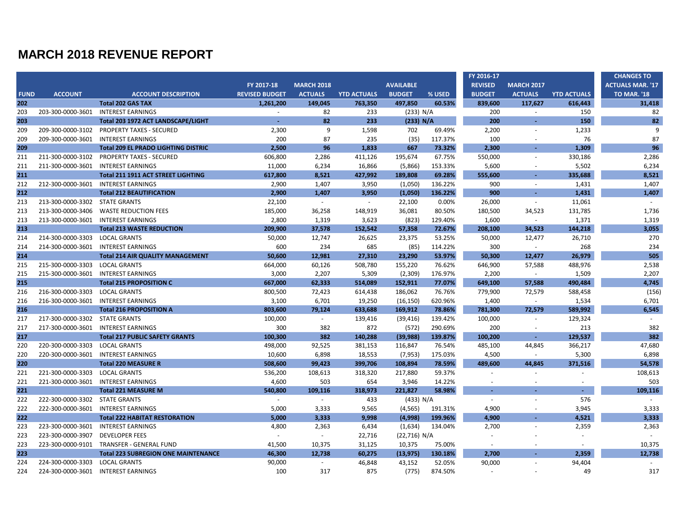|             |                                |                                            |                       |                   |                    |                  |         | FY 2016-17     |                          |                    | <b>CHANGES TO</b>       |
|-------------|--------------------------------|--------------------------------------------|-----------------------|-------------------|--------------------|------------------|---------|----------------|--------------------------|--------------------|-------------------------|
|             |                                |                                            | FY 2017-18            | <b>MARCH 2018</b> |                    | <b>AVAILABLE</b> |         | <b>REVISED</b> | <b>MARCH 2017</b>        |                    | <b>ACTUALS MAR. '17</b> |
| <b>FUND</b> | <b>ACCOUNT</b>                 | <b>ACCOUNT DESCRIPTION</b>                 | <b>REVISED BUDGET</b> | <b>ACTUALS</b>    | <b>YTD ACTUALS</b> | <b>BUDGET</b>    | % USED  | <b>BUDGET</b>  | <b>ACTUALS</b>           | <b>YTD ACTUALS</b> | <b>TO MAR. '18</b>      |
| 202         |                                | <b>Total 202 GAS TAX</b>                   | 1.261.200             | 149,045           | 763,350            | 497.850          | 60.53%  | 839,600        | 117,627                  | 616,443            | 31,418                  |
| 203         | 203-300-0000-3601              | <b>INTEREST EARNINGS</b>                   | $\sim$                | 82                | 233                | (233) N/A        |         | 200            | $\sim$                   | 150                | 82                      |
| 203         |                                | Total 203 1972 ACT LANDSCAPE/LIGHT         | $\sim$                | 82                | 233                | (233) N/A        |         | 200            | ÷.                       | 150                | 82                      |
| 209         | 209-300-0000-3102              | <b>PROPERTY TAXES - SECURED</b>            | 2,300                 | 9                 | 1,598              | 702              | 69.49%  | 2,200          | $\blacksquare$           | 1,233              | 9                       |
| 209         | 209-300-0000-3601              | <b>INTEREST EARNINGS</b>                   | 200                   | 87                | 235                | (35)             | 117.37% | 100            |                          | 76                 | 87                      |
| 209         |                                | <b>Total 209 EL PRADO LIGHTING DISTRIC</b> | 2,500                 | 96                | 1,833              | 667              | 73.32%  | 2,300          | х.                       | 1,309              | 96                      |
| 211         | 211-300-0000-3102              | <b>PROPERTY TAXES - SECURED</b>            | 606,800               | 2,286             | 411,126            | 195,674          | 67.75%  | 550,000        | $\blacksquare$           | 330,186            | 2,286                   |
| 211         | 211-300-0000-3601              | <b>INTEREST EARNINGS</b>                   | 11,000                | 6,234             | 16,866             | (5,866)          | 153.33% | 5,600          | $\overline{\phantom{a}}$ | 5,502              | 6,234                   |
| 211         |                                | <b>Total 211 1911 ACT STREET LIGHTING</b>  | 617,800               | 8,521             | 427,992            | 189,808          | 69.28%  | 555,600        | $\sim$                   | 335,688            | 8,521                   |
| 212         | 212-300-0000-3601              | <b>INTEREST EARNINGS</b>                   | 2,900                 | 1,407             | 3,950              | (1,050)          | 136.22% | 900            | $\sim$                   | 1,431              | 1,407                   |
| 212         |                                | <b>Total 212 BEAUTIFICATION</b>            | 2,900                 | 1,407             | 3,950              | (1,050)          | 136.22% | 900            |                          | 1,431              | 1,407                   |
| 213         | 213-300-0000-3302              | <b>STATE GRANTS</b>                        | 22,100                | $\sim$            | $\sim$             | 22,100           | 0.00%   | 26,000         | $\sim$                   | 11,061             |                         |
| 213         | 213-300-0000-3406              | <b>WASTE REDUCTION FEES</b>                | 185,000               | 36,258            | 148,919            | 36,081           | 80.50%  | 180,500        | 34,523                   | 131,785            | 1,736                   |
| 213         | 213-300-0000-3601              | <b>INTEREST EARNINGS</b>                   | 2,800                 | 1,319             | 3,623              | (823)            | 129.40% | 1,600          | $\sim$                   | 1,371              | 1,319                   |
| 213         |                                | <b>Total 213 WASTE REDUCTION</b>           | 209,900               | 37,578            | 152,542            | 57,358           | 72.67%  | 208,100        | 34,523                   | 144,218            | 3,055                   |
| 214         | 214-300-0000-3303              | <b>LOCAL GRANTS</b>                        | 50,000                | 12,747            | 26,625             | 23,375           | 53.25%  | 50,000         | 12,477                   | 26,710             | 270                     |
| 214         | 214-300-0000-3601              | <b>INTEREST EARNINGS</b>                   | 600                   | 234               | 685                | (85)             | 114.22% | 300            | $\sim$                   | 268                | 234                     |
| 214         |                                | <b>Total 214 AIR QUALITY MANAGEMENT</b>    | 50,600                | 12,981            | 27,310             | 23,290           | 53.97%  | 50,300         | 12,477                   | 26,979             | 505                     |
| 215         | 215-300-0000-3303              | <b>LOCAL GRANTS</b>                        | 664,000               | 60,126            | 508,780            | 155,220          | 76.62%  | 646,900        | 57,588                   | 488,976            | 2,538                   |
| 215         | 215-300-0000-3601              | <b>INTEREST EARNINGS</b>                   | 3,000                 | 2,207             | 5,309              | (2,309)          | 176.97% | 2,200          |                          | 1,509              | 2,207                   |
| 215         |                                | <b>Total 215 PROPOSITION C</b>             | 667,000               | 62,333            | 514,089            | 152,911          | 77.07%  | 649,100        | 57,588                   | 490,484            | 4,745                   |
| 216         | 216-300-0000-3303              | <b>LOCAL GRANTS</b>                        | 800,500               | 72,423            | 614,438            | 186,062          | 76.76%  | 779,900        | 72,579                   | 588,458            | (156)                   |
| 216         | 216-300-0000-3601              | <b>INTEREST EARNINGS</b>                   | 3,100                 | 6,701             | 19,250             | (16, 150)        | 620.96% | 1,400          | $\sim$                   | 1,534              | 6,701                   |
| 216         |                                | <b>Total 216 PROPOSITION A</b>             | 803,600               | 79,124            | 633,688            | 169,912          | 78.86%  | 781,300        | 72,579                   | 589,992            | 6,545                   |
| 217         | 217-300-0000-3302 STATE GRANTS |                                            | 100,000               | $\sim$            | 139,416            | (39, 416)        | 139.42% | 100,000        | $\sim$                   | 129,324            | $\sim$                  |
| 217         | 217-300-0000-3601              | <b>INTEREST EARNINGS</b>                   | 300                   | 382               | 872                | (572)            | 290.69% | 200            |                          | 213                | 382                     |
| 217         |                                | <b>Total 217 PUBLIC SAFETY GRANTS</b>      | 100,300               | 382               | 140,288            | (39, 988)        | 139.87% | 100,200        | $\omega$                 | 129,537            | 382                     |
| 220         | 220-300-0000-3303              | <b>LOCAL GRANTS</b>                        | 498,000               | 92,525            | 381,153            | 116,847          | 76.54%  | 485,100        | 44,845                   | 366,217            | 47,680                  |
| 220         | 220-300-0000-3601              | <b>INTEREST EARNINGS</b>                   | 10,600                | 6,898             | 18,553             | (7, 953)         | 175.03% | 4,500          | $\sim$                   | 5,300              | 6,898                   |
| 220         |                                | <b>Total 220 MEASURE R</b>                 | 508,600               | 99,423            | 399,706            | 108,894          | 78.59%  | 489,600        | 44,845                   | 371,516            | 54,578                  |
| 221         | 221-300-0000-3303              | <b>LOCAL GRANTS</b>                        | 536,200               | 108,613           | 318,320            | 217,880          | 59.37%  |                | $\sim$                   | $\sim$             | 108,613                 |
| 221         | 221-300-0000-3601              | <b>INTEREST EARNINGS</b>                   | 4,600                 | 503               | 654                | 3,946            | 14.22%  |                |                          |                    | 503                     |
| 221         |                                | <b>Total 221 MEASURE M</b>                 | 540,800               | 109,116           | 318,973            | 221,827          | 58.98%  | $\sim$         |                          | $\sim$             | 109,116                 |
| 222         | 222-300-0000-3302              | <b>STATE GRANTS</b>                        | $\sim$                | $\sim$            | 433                | (433) N/A        |         | $\omega$       | $\sim$                   | 576                |                         |
| 222         | 222-300-0000-3601              | <b>INTEREST EARNINGS</b>                   | 5,000                 | 3,333             | 9,565              | (4, 565)         | 191.31% | 4.900          | $\sim$                   | 3,945              | 3,333                   |
| 222         |                                | <b>Total 222 HABITAT RESTORATION</b>       | 5,000                 | 3.333             | 9,998              | (4,998)          | 199.96% | 4,900          |                          | 4,521              | 3,333                   |
| 223         | 223-300-0000-3601              | <b>INTEREST EARNINGS</b>                   | 4,800                 | 2,363             | 6,434              | (1,634)          | 134.04% | 2,700          | $\sim$                   | 2,359              | 2,363                   |
| 223         | 223-300-0000-3907              | <b>DEVELOPER FEES</b>                      |                       | $\sim$            | 22,716             | (22,716) N/A     |         |                |                          |                    |                         |
| 223         | 223-300-0000-9101              | TRANSFER - GENERAL FUND                    | 41,500                | 10,375            | 31,125             | 10,375           | 75.00%  | $\sim$         |                          | $\overline{a}$     | 10,375                  |
| 223         |                                | <b>Total 223 SUBREGION ONE MAINTENANCE</b> | 46,300                | 12,738            | 60,275             | (13, 975)        | 130.18% | 2.700          |                          | 2,359              | 12,738                  |
| 224         | 224-300-0000-3303              | <b>LOCAL GRANTS</b>                        | 90,000                | $\sim$            | 46,848             | 43,152           | 52.05%  | 90,000         |                          | 94,404             | $\sim$                  |
| 224         | 224-300-0000-3601              | <b>INTEREST EARNINGS</b>                   | 100                   | 317               | 875                | (775)            | 874.50% |                |                          | 49                 | 317                     |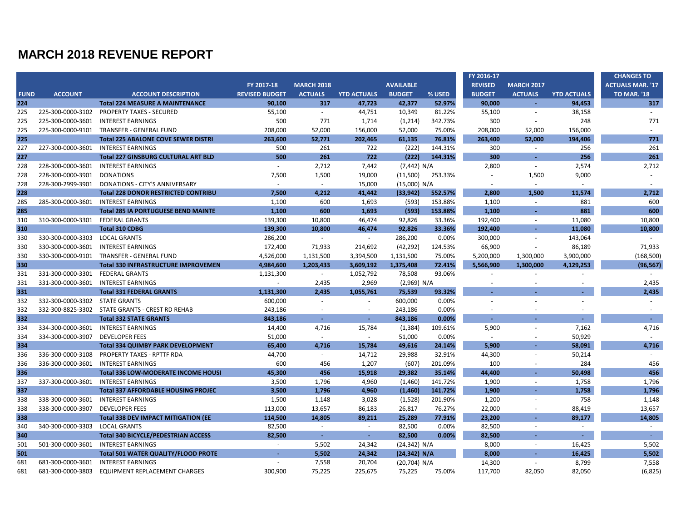|             |                                  |                                                 |                       |                             |                    |                  |         | FY 2016-17     |                   |                    | <b>CHANGES TO</b>       |
|-------------|----------------------------------|-------------------------------------------------|-----------------------|-----------------------------|--------------------|------------------|---------|----------------|-------------------|--------------------|-------------------------|
|             |                                  |                                                 | FY 2017-18            | <b>MARCH 2018</b>           |                    | <b>AVAILABLE</b> |         | <b>REVISED</b> | <b>MARCH 2017</b> |                    | <b>ACTUALS MAR. '17</b> |
| <b>FUND</b> | <b>ACCOUNT</b>                   | <b>ACCOUNT DESCRIPTION</b>                      | <b>REVISED BUDGET</b> | <b>ACTUALS</b>              | <b>YTD ACTUALS</b> | <b>BUDGET</b>    | % USED  | <b>BUDGET</b>  | <b>ACTUALS</b>    | <b>YTD ACTUALS</b> | <b>TO MAR. '18</b>      |
| 224         |                                  | <b>Total 224 MEASURE A MAINTENANCE</b>          | 90.100                | 317                         | 47,723             | 42.377           | 52.97%  | 90.000         | $\sim$            | 94.453             | 317                     |
| 225         | 225-300-0000-3102                | <b>PROPERTY TAXES - SECURED</b>                 | 55,100                | $\sim$                      | 44,751             | 10,349           | 81.22%  | 55,100         | $\sim$            | 38,158             |                         |
| 225         | 225-300-0000-3601                | <b>INTEREST EARNINGS</b>                        | 500                   | 771                         | 1,714              | (1,214)          | 342.73% | 300            |                   | 248                | 771                     |
| 225         | 225-300-0000-9101                | <b>TRANSFER - GENERAL FUND</b>                  | 208,000               | 52,000                      | 156,000            | 52,000           | 75.00%  | 208,000        | 52,000            | 156,000            | $\sim$                  |
| 225         |                                  | <b>Total 225 ABALONE COVE SEWER DISTRI</b>      | 263,600               | 52,771                      | 202,465            | 61,135           | 76.81%  | 263.400        | 52,000            | 194,406            | 771                     |
| 227         |                                  | 227-300-0000-3601 INTEREST EARNINGS             | 500                   | 261                         | 722                | (222)            | 144.31% | 300            | $\sim$            | 256                | 261                     |
| 227         |                                  | <b>Total 227 GINSBURG CULTURAL ART BLD</b>      | 500                   | 261                         | 722                | (222)            | 144.31% | 300            |                   | 256                | 261                     |
| 228         | 228-300-0000-3601                | <b>INTEREST EARNINGS</b>                        | $\sim$                | 2,712                       | 7,442              | (7,442) N/A      |         | 2,800          | $\sim$            | 2,574              | 2,712                   |
| 228         | 228-300-0000-3901                | <b>DONATIONS</b>                                | 7,500                 | 1,500                       | 19,000             | (11,500)         | 253.33% | $\sim$         | 1,500             | 9,000              | ÷.                      |
| 228         | 228-300-2999-3901                | DONATIONS - CITY'S ANNIVERSARY                  | $\sim$                | $\omega$                    | 15,000             | (15,000) N/A     |         | $\sim$         | $\sim$            | $\sim$             | $\sim$                  |
| 228         |                                  | <b>Total 228 DONOR RESTRICTED CONTRIBU</b>      | 7,500                 | 4.212                       | 41,442             | (33, 942)        | 552.57% | 2.800          | 1,500             | 11,574             | 2,712                   |
| 285         |                                  | 285-300-0000-3601 INTEREST EARNINGS             | 1,100                 | 600                         | 1,693              | (593)            | 153.88% | 1,100          | $\sim$            | 881                | 600                     |
| 285         |                                  | <b>Total 285 IA PORTUGUESE BEND MAINTE</b>      | 1,100                 | 600                         | 1,693              | (593)            | 153.88% | 1.100          |                   | 881                | 600                     |
| 310         | 310-300-0000-3301 FEDERAL GRANTS |                                                 | 139,300               | 10,800                      | 46,474             | 92,826           | 33.36%  | 192,400        | $\sim$            | 11,080             | 10,800                  |
| 310         |                                  | <b>Total 310 CDBG</b>                           | 139,300               | 10,800                      | 46,474             | 92,826           | 33.36%  | 192,400        | х.                | 11,080             | 10,800                  |
| 330         | 330-300-0000-3303                | <b>LOCAL GRANTS</b>                             | 286,200               | $\mathcal{L}_{\mathcal{A}}$ | $\sim$             | 286,200          | 0.00%   | 300,000        | $\sim$            | 143,064            | $\sim$                  |
| 330         | 330-300-0000-3601                | <b>INTEREST EARNINGS</b>                        | 172,400               | 71,933                      | 214,692            | (42, 292)        | 124.53% | 66,900         |                   | 86,189             | 71,933                  |
| 330         | 330-300-0000-9101                | TRANSFER - GENERAL FUND                         | 4,526,000             | 1,131,500                   | 3,394,500          | 1,131,500        | 75.00%  | 5,200,000      | 1,300,000         | 3,900,000          | (168, 500)              |
| 330         |                                  | <b>Total 330 INFRASTRUCTURE IMPROVEMEN</b>      | 4,984,600             | 1.203.433                   | 3,609,192          | 1.375.408        | 72.41%  | 5.566.900      | 1.300.000         | 4.129.253          | (96, 567)               |
| 331         | 331-300-0000-3301                | <b>FEDERAL GRANTS</b>                           | 1,131,300             | $\sim$                      | 1,052,792          | 78,508           | 93.06%  |                |                   |                    |                         |
| 331         | 331-300-0000-3601                | <b>INTEREST EARNINGS</b>                        | $\omega$              | 2,435                       | 2,969              | (2,969) N/A      |         |                |                   |                    | 2,435                   |
| 331         |                                  | <b>Total 331 FEDERAL GRANTS</b>                 | 1,131,300             | 2,435                       | 1,055,761          | 75,539           | 93.32%  |                |                   |                    | 2,435                   |
| 332         | 332-300-0000-3302                | <b>STATE GRANTS</b>                             | 600,000               | $\sim$                      |                    | 600,000          | 0.00%   |                |                   |                    | $\sim$                  |
| 332         |                                  | 332-300-8825-3302 STATE GRANTS - CREST RD REHAB | 243,186               | $\sim$                      |                    | 243,186          | 0.00%   |                |                   |                    |                         |
| 332         |                                  | <b>Total 332 STATE GRANTS</b>                   | 843,186               | $\sim$                      | $\sim$             | 843,186          | 0.00%   | $\sim$         |                   |                    | $\sim$                  |
| 334         | 334-300-0000-3601                | INTEREST EARNINGS                               | 14,400                | 4,716                       | 15,784             | (1, 384)         | 109.61% | 5,900          |                   | 7,162              | 4,716                   |
| 334         | 334-300-0000-3907                | <b>DEVELOPER FEES</b>                           | 51,000                | $\sim$                      | $\sim$             | 51,000           | 0.00%   | $\omega$       |                   | 50,929             | $\sim$                  |
| 334         |                                  | <b>Total 334 QUIMBY PARK DEVELOPMENT</b>        | 65,400                | 4,716                       | 15,784             | 49,616           | 24.14%  | 5,900          | $\sim$            | 58,091             | 4,716                   |
| 336         | 336-300-0000-3108                | <b>PROPERTY TAXES - RPTTF RDA</b>               | 44,700                | $\sim$                      | 14,712             | 29,988           | 32.91%  | 44,300         |                   | 50,214             | $\sim$                  |
| 336         | 336-300-0000-3601                | <b>INTEREST EARNINGS</b>                        | 600                   | 456                         | 1,207              | (607)            | 201.09% | 100            |                   | 284                | 456                     |
| 336         |                                  | Total 336 LOW-MODERATE INCOME HOUSI             | 45,300                | 456                         | 15,918             | 29,382           | 35.14%  | 44,400         |                   | 50,498             | 456                     |
| 337         | 337-300-0000-3601                | <b>INTEREST EARNINGS</b>                        | 3,500                 | 1,796                       | 4,960              | (1,460)          | 141.72% | 1,900          | $\sim$            | 1,758              | 1,796                   |
| 337         |                                  | <b>Total 337 AFFORDABLE HOUSING PROJEC</b>      | 3,500                 | 1,796                       | 4,960              | (1,460)          | 141.72% | 1,900          |                   | 1,758              | 1,796                   |
| 338         | 338-300-0000-3601                | <b>INTEREST EARNINGS</b>                        | 1,500                 | 1,148                       | 3,028              | (1,528)          | 201.90% | 1,200          | $\sim$            | 758                | 1,148                   |
| 338         | 338-300-0000-3907                | <b>DEVELOPER FEES</b>                           | 113,000               | 13,657                      | 86,183             | 26,817           | 76.27%  | 22,000         |                   | 88,419             | 13,657                  |
| 338         |                                  | <b>Total 338 DEV IMPACT MITIGATION (EE</b>      | 114,500               | 14,805                      | 89,211             | 25.289           | 77.91%  | 23,200         |                   | 89.177             | 14,805                  |
| 340         | 340-300-0000-3303                | <b>LOCAL GRANTS</b>                             | 82,500                | $\sim$                      | $\sim$             | 82,500           | 0.00%   | 82,500         | $\sim$            | $\sim$             | $\sim$                  |
| 340         |                                  | <b>Total 340 BICYCLE/PEDESTRIAN ACCESS</b>      | 82,500                | ÷.                          | $\sim$             | 82,500           | 0.00%   | 82,500         |                   | ×,                 | $\sim$                  |
| 501         |                                  | 501-300-0000-3601 INTEREST EARNINGS             | $\sim$                | 5,502                       | 24,342             | (24, 342) N/A    |         | 8,000          | $\sim$            | 16,425             | 5,502                   |
| 501         |                                  | <b>Total 501 WATER QUALITY/FLOOD PROTE</b>      | ×.                    | 5,502                       | 24,342             | (24, 342) N/A    |         | 8,000          |                   | 16,425             | 5,502                   |
| 681         | 681-300-0000-3601                | <b>INTEREST EARNINGS</b>                        |                       | 7,558                       | 20,704             | (20, 704) N/A    |         | 14,300         | $\sim$            | 8,799              | 7,558                   |
| 681         |                                  | 681-300-0000-3803 EQUIPMENT REPLACEMENT CHARGES | 300,900               | 75,225                      | 225,675            | 75,225           | 75.00%  | 117,700        | 82,050            | 82,050             | (6, 825)                |